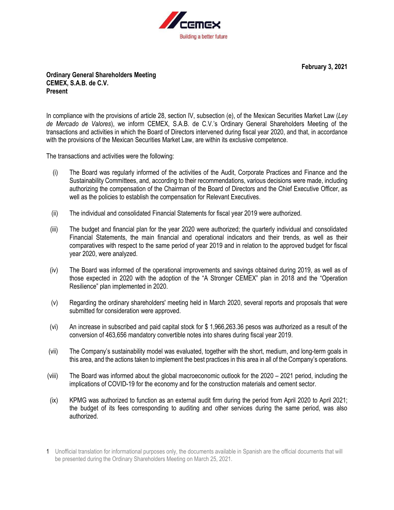

**February 3, 2021**

## **Ordinary General Shareholders Meeting CEMEX, S.A.B. de C.V. Present**

In compliance with the provisions of article 28, section IV, subsection (e), of the Mexican Securities Market Law (*Ley de Mercado de Valores*), we inform CEMEX, S.A.B. de C.V.'s Ordinary General Shareholders Meeting of the transactions and activities in which the Board of Directors intervened during fiscal year 2020, and that, in accordance with the provisions of the Mexican Securities Market Law, are within its exclusive competence.

The transactions and activities were the following:

- (i) The Board was regularly informed of the activities of the Audit, Corporate Practices and Finance and the Sustainability Committees, and, according to their recommendations, various decisions were made, including authorizing the compensation of the Chairman of the Board of Directors and the Chief Executive Officer, as well as the policies to establish the compensation for Relevant Executives.
- (ii) The individual and consolidated Financial Statements for fiscal year 2019 were authorized.
- (iii) The budget and financial plan for the year 2020 were authorized; the quarterly individual and consolidated Financial Statements, the main financial and operational indicators and their trends, as well as their comparatives with respect to the same period of year 2019 and in relation to the approved budget for fiscal year 2020, were analyzed.
- (iv) The Board was informed of the operational improvements and savings obtained during 2019, as well as of those expected in 2020 with the adoption of the "A Stronger CEMEX" plan in 2018 and the "Operation Resilience" plan implemented in 2020.
- (v) Regarding the ordinary shareholders' meeting held in March 2020, several reports and proposals that were submitted for consideration were approved.
- (vi) An increase in subscribed and paid capital stock for \$ 1,966,263.36 pesos was authorized as a result of the conversion of 463,656 mandatory convertible notes into shares during fiscal year 2019.
- (vii) The Company's sustainability model was evaluated, together with the short, medium, and long-term goals in this area, and the actions taken to implement the best practices in this area in all of the Company's operations.
- (viii) The Board was informed about the global macroeconomic outlook for the 2020 2021 period, including the implications of COVID-19 for the economy and for the construction materials and cement sector.
- (ix) KPMG was authorized to function as an external audit firm during the period from April 2020 to April 2021; the budget of its fees corresponding to auditing and other services during the same period, was also authorized.

<sup>1</sup> Unofficial translation for informational purposes only, the documents available in Spanish are the official documents that will be presented during the Ordinary Shareholders Meeting on March 25, 2021.